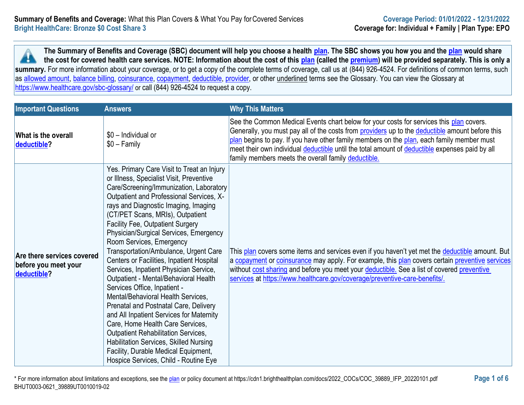**The Summary of Benefits and Coverage (SBC) document will help you choose a health [plan.](https://www.healthcare.gov/sbc-glossary/#plan) The SBC shows you how you and the [plan](https://www.healthcare.gov/sbc-glossary/#plan) would share the cost for covered health care services. NOTE: Information about the cost of this [plan](https://www.healthcare.gov/sbc-glossary/#plan) (called the [premium\)](https://www.healthcare.gov/sbc-glossary/#premium) will be provided separately. This is only a A** summary. For more information about your coverage, or to get a copy of the complete terms of coverage, call us at (844) 926-4524. For definitions of common terms, such as [allowed amount,](https://www.healthcare.gov/sbc-glossary/#allowed-amount) [balance billing,](https://www.healthcare.gov/sbc-glossary/#balance-billing) [coinsurance,](https://www.healthcare.gov/sbc-glossary/#coinsurance) [copayment,](https://www.healthcare.gov/sbc-glossary/#copayment) [deductible,](https://www.healthcare.gov/sbc-glossary/#deductible) [provider,](https://www.healthcare.gov/sbc-glossary/#provider) or other underlined terms see the Glossary. You can view the Glossary at <https://www.healthcare.gov/sbc-glossary/> or call (844) 926-4524 to request a copy.

| <b>Important Questions</b>                                        | <b>Answers</b>                                                                                                                                                                                                                                                                                                                                                                                                                                                                                                                                                                                                                                                                                                                                                                                                                                                                                                              | <b>Why This Matters</b>                                                                                                                                                                                                                                                                                                                                                                                                                          |
|-------------------------------------------------------------------|-----------------------------------------------------------------------------------------------------------------------------------------------------------------------------------------------------------------------------------------------------------------------------------------------------------------------------------------------------------------------------------------------------------------------------------------------------------------------------------------------------------------------------------------------------------------------------------------------------------------------------------------------------------------------------------------------------------------------------------------------------------------------------------------------------------------------------------------------------------------------------------------------------------------------------|--------------------------------------------------------------------------------------------------------------------------------------------------------------------------------------------------------------------------------------------------------------------------------------------------------------------------------------------------------------------------------------------------------------------------------------------------|
| What is the overall<br>deductible?                                | \$0 - Individual or<br>$$0 - Family$                                                                                                                                                                                                                                                                                                                                                                                                                                                                                                                                                                                                                                                                                                                                                                                                                                                                                        | See the Common Medical Events chart below for your costs for services this plan covers.<br>Generally, you must pay all of the costs from providers up to the deductible amount before this<br>plan begins to pay. If you have other family members on the plan, each family member must<br>meet their own individual deductible until the total amount of deductible expenses paid by all<br>family members meets the overall family deductible. |
| Are there services covered<br>before you meet your<br>deductible? | Yes. Primary Care Visit to Treat an Injury<br>or Illness, Specialist Visit, Preventive<br>Care/Screening/Immunization, Laboratory<br>Outpatient and Professional Services, X-<br>rays and Diagnostic Imaging, Imaging<br>(CT/PET Scans, MRIs), Outpatient<br>Facility Fee, Outpatient Surgery<br>Physician/Surgical Services, Emergency<br>Room Services, Emergency<br>Transportation/Ambulance, Urgent Care<br>Centers or Facilities, Inpatient Hospital<br>Services, Inpatient Physician Service,<br>Outpatient - Mental/Behavioral Health<br>Services Office, Inpatient -<br>Mental/Behavioral Health Services,<br>Prenatal and Postnatal Care, Delivery<br>and All Inpatient Services for Maternity<br>Care, Home Health Care Services,<br><b>Outpatient Rehabilitation Services,</b><br><b>Habilitation Services, Skilled Nursing</b><br>Facility, Durable Medical Equipment,<br>Hospice Services, Child - Routine Eye | This plan covers some items and services even if you haven't yet met the deductible amount. But<br>a copayment or coinsurance may apply. For example, this plan covers certain preventive services<br>without cost sharing and before you meet your deductible. See a list of covered preventive<br>services at https://www.healthcare.gov/coverage/preventive-care-benefits/.                                                                   |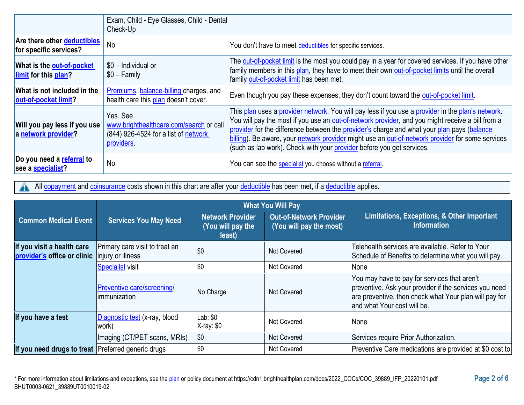|                                                       | Exam, Child - Eye Glasses, Child - Dental<br>Check-Up                                                     |                                                                                                                                                                                                                                                                                                                                                                                                                                                                                  |
|-------------------------------------------------------|-----------------------------------------------------------------------------------------------------------|----------------------------------------------------------------------------------------------------------------------------------------------------------------------------------------------------------------------------------------------------------------------------------------------------------------------------------------------------------------------------------------------------------------------------------------------------------------------------------|
| Are there other deductibles<br>for specific services? | <b>No</b>                                                                                                 | You don't have to meet deductibles for specific services.                                                                                                                                                                                                                                                                                                                                                                                                                        |
| What is the out-of-pocket<br>limit for this plan?     | \$0 - Individual or<br>$$0 - Family$                                                                      | The out-of-pocket limit is the most you could pay in a year for covered services. If you have other<br>family members in this plan, they have to meet their own out-of-pocket limits until the overall<br>family out-of-pocket limit has been met.                                                                                                                                                                                                                               |
| What is not included in the<br>out-of-pocket limit?   | Premiums, balance-billing charges, and<br>health care this plan doesn't cover.                            | Even though you pay these expenses, they don't count toward the out-of-pocket limit.                                                                                                                                                                                                                                                                                                                                                                                             |
| Will you pay less if you use<br>a network provider?   | Yes, See<br>www.brighthealthcare.com/search or call<br>(844) 926-4524 for a list of network<br>providers. | This plan uses a provider network. You will pay less if you use a provider in the plan's network.<br>You will pay the most if you use an out-of-network provider, and you might receive a bill from a<br>provider for the difference between the provider's charge and what your plan pays (balance<br>billing). Be aware, your network provider might use an out-of-network provider for some services<br>(such as lab work). Check with your provider before you get services. |
| Do you need a referral to<br>see a <b>specialist?</b> | No                                                                                                        | You can see the <b>specialist</b> you choose without a referral.                                                                                                                                                                                                                                                                                                                                                                                                                 |

All [copayment](https://www.healthcare.gov/sbc-glossary/#copayment) and [coinsurance](https://www.healthcare.gov/sbc-glossary/#coinsurance) costs shown in this chart are after your [deductible](https://www.healthcare.gov/sbc-glossary/#deductible) has been met, if a deductible applies. 4

|                                                           |                                                          | <b>What You Will Pay</b>                               |                                                           |                                                                                                                                                                                                 |
|-----------------------------------------------------------|----------------------------------------------------------|--------------------------------------------------------|-----------------------------------------------------------|-------------------------------------------------------------------------------------------------------------------------------------------------------------------------------------------------|
| <b>Common Medical Event</b>                               | <b>Services You May Need</b>                             | <b>Network Provider</b><br>(You will pay the<br>least) | <b>Out-of-Network Provider</b><br>(You will pay the most) | Limitations, Exceptions, & Other Important<br><b>Information</b>                                                                                                                                |
| If you visit a health care<br>provider's office or clinic | Primary care visit to treat an<br>injury or illness      | \$0                                                    | <b>Not Covered</b>                                        | Telehealth services are available. Refer to Your<br>Schedule of Benefits to determine what you will pay.                                                                                        |
|                                                           | <b>Specialist visit</b>                                  | \$0                                                    | <b>Not Covered</b>                                        | <b>None</b>                                                                                                                                                                                     |
|                                                           | <b>Preventive care/screening/</b><br><b>immunization</b> | No Charge                                              | <b>Not Covered</b>                                        | You may have to pay for services that aren't<br>preventive. Ask your provider if the services you need<br>are preventive, then check what Your plan will pay for<br>and what Your cost will be. |
| If you have a test                                        | Diagnostic test (x-ray, blood<br>work)                   | Lab: \$0<br>$X-ray: $0$                                | <b>Not Covered</b>                                        | None                                                                                                                                                                                            |
|                                                           | Imaging (CT/PET scans, MRIs)                             | \$0                                                    | <b>Not Covered</b>                                        | Services require Prior Authorization.                                                                                                                                                           |
| If you need drugs to treat Preferred generic drugs        |                                                          | \$0                                                    | <b>Not Covered</b>                                        | Preventive Care medications are provided at \$0 cost to                                                                                                                                         |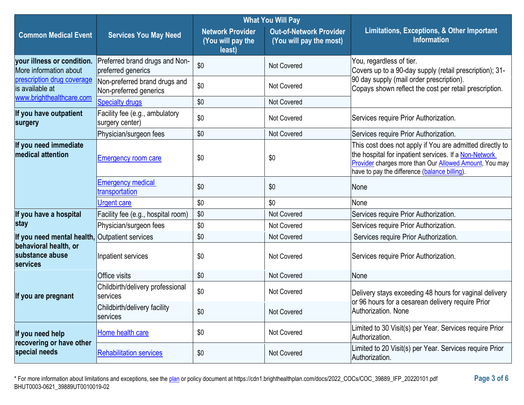|                                                             |                                                         | <b>What You Will Pay</b>                               |                                                           |                                                                                                                                                                                                                              |  |
|-------------------------------------------------------------|---------------------------------------------------------|--------------------------------------------------------|-----------------------------------------------------------|------------------------------------------------------------------------------------------------------------------------------------------------------------------------------------------------------------------------------|--|
| <b>Common Medical Event</b>                                 | <b>Services You May Need</b>                            | <b>Network Provider</b><br>(You will pay the<br>least) | <b>Out-of-Network Provider</b><br>(You will pay the most) | Limitations, Exceptions, & Other Important<br><b>Information</b>                                                                                                                                                             |  |
| your illness or condition.<br>More information about        | Preferred brand drugs and Non-<br>preferred generics    | \$0                                                    | <b>Not Covered</b>                                        | You, regardless of tier.<br>Covers up to a 90-day supply (retail prescription); 31-                                                                                                                                          |  |
| prescription drug coverage<br>is available at               | Non-preferred brand drugs and<br>Non-preferred generics | \$0                                                    | <b>Not Covered</b>                                        | 90 day supply (mail order prescription).<br>Copays shown reflect the cost per retail prescription.                                                                                                                           |  |
| www.brighthealthcare.com                                    | <b>Specialty drugs</b>                                  | \$0                                                    | Not Covered                                               |                                                                                                                                                                                                                              |  |
| If you have outpatient<br>surgery                           | Facility fee (e.g., ambulatory<br>surgery center)       | \$0                                                    | <b>Not Covered</b>                                        | Services require Prior Authorization.                                                                                                                                                                                        |  |
|                                                             | Physician/surgeon fees                                  | \$0                                                    | <b>Not Covered</b>                                        | Services require Prior Authorization.                                                                                                                                                                                        |  |
| If you need immediate<br>medical attention                  | <b>Emergency room care</b>                              | \$0                                                    | \$0                                                       | This cost does not apply if You are admitted directly to<br>the hospital for inpatient services. If a Non-Network<br>Provider charges more than Our Allowed Amount, You may<br>have to pay the difference (balance billing). |  |
|                                                             | <b>Emergency medical</b><br>transportation              | \$0                                                    | \$0                                                       | None                                                                                                                                                                                                                         |  |
|                                                             | <b>Urgent care</b>                                      | \$0                                                    | \$0                                                       | None                                                                                                                                                                                                                         |  |
| If you have a hospital                                      | Facility fee (e.g., hospital room)                      | \$0                                                    | <b>Not Covered</b>                                        | Services require Prior Authorization.                                                                                                                                                                                        |  |
| stay                                                        | Physician/surgeon fees                                  | \$0                                                    | Not Covered                                               | Services require Prior Authorization.                                                                                                                                                                                        |  |
| If you need mental health, Outpatient services              |                                                         | \$0                                                    | <b>Not Covered</b>                                        | Services require Prior Authorization.                                                                                                                                                                                        |  |
| behavioral health, or<br>substance abuse<br><b>services</b> | Inpatient services                                      | \$0                                                    | <b>Not Covered</b>                                        | Services require Prior Authorization.                                                                                                                                                                                        |  |
|                                                             | <b>Office visits</b>                                    | \$0                                                    | <b>Not Covered</b>                                        | None                                                                                                                                                                                                                         |  |
| If you are pregnant                                         | Childbirth/delivery professional<br>services            | \$0                                                    | Not Covered                                               | Delivery stays exceeding 48 hours for vaginal delivery<br>or 96 hours for a cesarean delivery require Prior                                                                                                                  |  |
|                                                             | Childbirth/delivery facility<br>services                | \$0                                                    | Not Covered                                               | Authorization. None                                                                                                                                                                                                          |  |
| If you need help                                            | Home health care                                        | \$0                                                    | Not Covered                                               | Limited to 30 Visit(s) per Year. Services require Prior<br>Authorization.                                                                                                                                                    |  |
| recovering or have other<br>special needs                   | <b>Rehabilitation services</b>                          | \$0                                                    | Not Covered                                               | Limited to 20 Visit(s) per Year. Services require Prior<br>Authorization.                                                                                                                                                    |  |

\* For more information about limitations and exceptions, see the [plan](https://www.healthcare.gov/sbc-glossary/#plan) or policy document at https://cdn1.brighthealthplan.com/docs/2022\_COCs/COC\_39889\_IFP\_20220101.pdf **Page 3 of 6** BHUT0003-0621\_39889UT0010019-02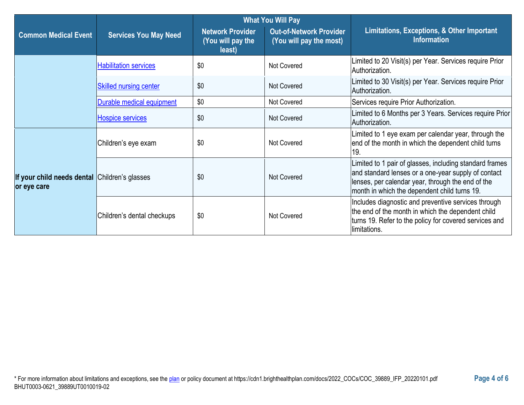|                                                              |                               | <b>What You Will Pay</b>                               |                                                           |                                                                                                                                                                                                                     |  |
|--------------------------------------------------------------|-------------------------------|--------------------------------------------------------|-----------------------------------------------------------|---------------------------------------------------------------------------------------------------------------------------------------------------------------------------------------------------------------------|--|
| <b>Common Medical Event</b>                                  | <b>Services You May Need</b>  | <b>Network Provider</b><br>(You will pay the<br>least) | <b>Out-of-Network Provider</b><br>(You will pay the most) | Limitations, Exceptions, & Other Important<br><b>Information</b>                                                                                                                                                    |  |
|                                                              | <b>Habilitation services</b>  | \$0                                                    | <b>Not Covered</b>                                        | imited to 20 Visit(s) per Year. Services require Prior<br>Authorization.                                                                                                                                            |  |
|                                                              | <b>Skilled nursing center</b> | \$0                                                    | Not Covered                                               | Limited to 30 Visit(s) per Year. Services require Prior<br>Authorization.                                                                                                                                           |  |
|                                                              | Durable medical equipment     | \$0                                                    | <b>Not Covered</b>                                        | Services require Prior Authorization.                                                                                                                                                                               |  |
|                                                              | <b>Hospice services</b>       | \$0                                                    | Not Covered                                               | Limited to 6 Months per 3 Years. Services require Prior<br>Authorization.                                                                                                                                           |  |
|                                                              | Children's eye exam           | \$0                                                    | Not Covered                                               | Limited to 1 eye exam per calendar year, through the<br>end of the month in which the dependent child turns<br>19.                                                                                                  |  |
| If your child needs dental Children's glasses<br>or eye care |                               | \$0                                                    | Not Covered                                               | Limited to 1 pair of glasses, including standard frames<br>and standard lenses or a one-year supply of contact<br>lenses, per calendar year, through the end of the<br>month in which the dependent child turns 19. |  |
|                                                              | Children's dental checkups    | \$0                                                    | Not Covered                                               | Includes diagnostic and preventive services through<br>the end of the month in which the dependent child<br>turns 19. Refer to the policy for covered services and<br>limitations.                                  |  |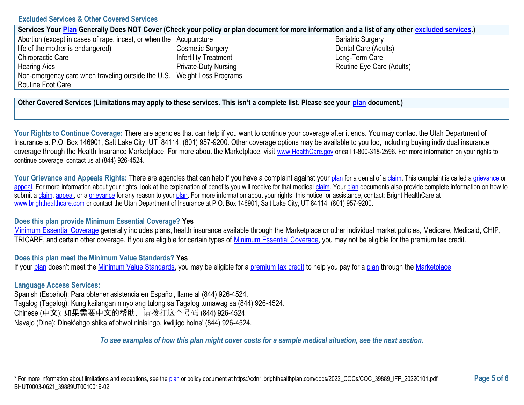### **Excluded Services & Other Covered Services**

| Services Your Plan Generally Does NOT Cover (Check your policy or plan document for more information and a list of any other excluded services.) |                              |                           |  |  |
|--------------------------------------------------------------------------------------------------------------------------------------------------|------------------------------|---------------------------|--|--|
| Abortion (except in cases of rape, incest, or when the Acupuncture                                                                               |                              | <b>Bariatric Surgery</b>  |  |  |
| life of the mother is endangered)                                                                                                                | <b>Cosmetic Surgery</b>      | Dental Care (Adults)      |  |  |
| Chiropractic Care                                                                                                                                | <b>Infertility Treatment</b> | Long-Term Care            |  |  |
| <b>Hearing Aids</b>                                                                                                                              | <b>Private-Duty Nursing</b>  | Routine Eye Care (Adults) |  |  |
| Non-emergency care when traveling outside the U.S.   Weight Loss Programs                                                                        |                              |                           |  |  |
| Routine Foot Care                                                                                                                                |                              |                           |  |  |

**Other Covered Services (Limitations may apply to these services. This isn't a complete list. Please see your [plan](https://www.healthcare.gov/sbc-glossary/#plan) document.)**

Your Rights to Continue Coverage: There are agencies that can help if you want to continue your coverage after it ends. You may contact the Utah Department of Insurance at P.O. Box 146901, Salt Lake City, UT 84114, (801) 957-9200. Other coverage options may be available to you too, including buying individual insurance coverage through the Health Insurance Marketplace. For more about the Marketplace, visit [www.HealthCare.gov](https://www.healthcare.gov/) or call 1-800-318-2596. For more information on your rights to continue coverage, contact us at (844) 926-4524.

Your Grievance and Appeals Rights: There are agencies that can help if you have a complaint against your [plan](https://www.healthcare.gov/sbc-glossary/#plan) for a denial of [a claim.](https://www.healthcare.gov/sbc-glossary/#claim) This complaint is called a [grievance](https://www.healthcare.gov/sbc-glossary/#grievance) or [appeal.](https://www.healthcare.gov/sbc-glossary/#appeal) For more information about your rights, look at the explanation of benefits you will receive for that medical [claim.](https://www.healthcare.gov/sbc-glossary/#claim) You[r plan](https://www.healthcare.gov/sbc-glossary/#plan) documents also provide complete information on how to submit a [claim,](https://www.healthcare.gov/sbc-glossary/#claim) [appeal,](https://www.healthcare.gov/sbc-glossary/#appeal) or [a grievance](https://www.healthcare.gov/sbc-glossary/#grievance) for any reason to your [plan.](https://www.healthcare.gov/sbc-glossary/#plan) For more information about your rights, this notice, or assistance, contact: Bright HealthCare at [www.brighthealthcare.com](https://www.brighthealthcare.com/) or contact the Utah Department of Insurance at P.O. Box 146901, Salt Lake City, UT 84114, (801) 957-9200.

### **Does this plan provide Minimum Essential Coverage? Yes**

[Minimum Essential Coverage](https://www.healthcare.gov/sbc-glossary/#minimum-essential-coverage) generally includes plans, health insurance available through the Marketplace or other individual market policies, Medicare, Medicaid, CHIP, TRICARE, and certain other coverage. If you are eligible for certain types of [Minimum Essential Coverage,](https://www.healthcare.gov/sbc-glossary/#minimum-essential-coverage) you may not be eligible for the premium tax credit.

### **Does this plan meet the Minimum Value Standards? Yes**

If you[r plan](https://www.healthcare.gov/sbc-glossary/#plan) doesn't meet the [Minimum Value Standards,](https://www.healthcare.gov/sbc-glossary/#minimum-value-standard) you may be eligible for a [premium tax credit](https://www.healthcare.gov/sbc-glossary/#premium-tax-credits) to help you pay for a [plan](https://www.healthcare.gov/sbc-glossary/#plan) through the [Marketplace.](https://www.healthcare.gov/sbc-glossary/#marketplace)

### **Language Access Services:**

Spanish (Español): Para obtener asistencia en Español, llame al (844) 926-4524. Tagalog (Tagalog): Kung kailangan ninyo ang tulong sa Tagalog tumawag sa (844) 926-4524. Chinese (中文): 如果需要中文的帮助,请拨打这个号码 (844) 926-4524. Navajo (Dine): Dinek'ehgo shika at'ohwol ninisingo, kwiijigo holne' (844) 926-4524.

### *To see examples of how this plan might cover costs for a sample medical situation, see the next section.*